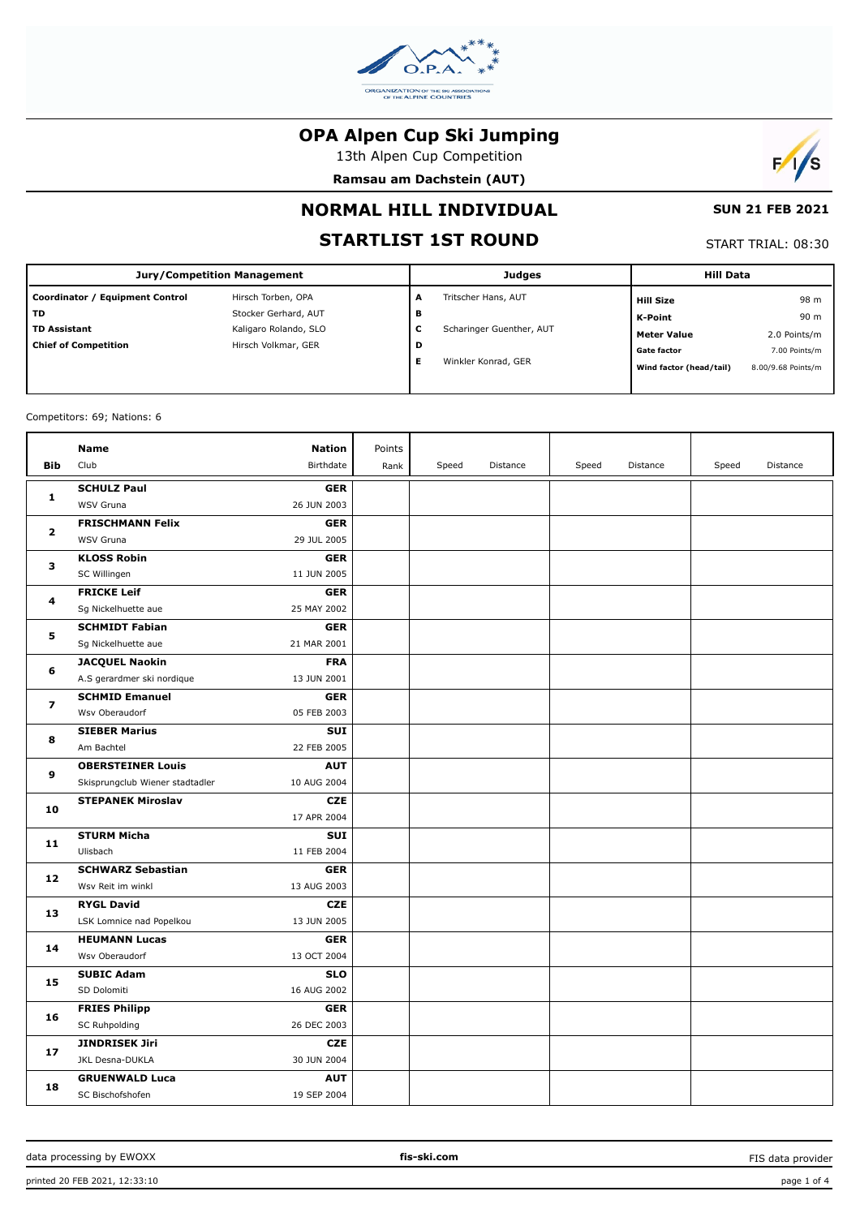

13th Alpen Cup Competition

**Ramsau am Dachstein (AUT)**



### **NORMAL HILL INDIVIDUAL**

### **STARTLIST 1ST ROUND**

## **SUN 21 FEB 2021**

| START TRIAL: 08:30 |  |
|--------------------|--|

| <b>Jury/Competition Management</b> |                       |   | <b>Judges</b>            | <b>Hill Data</b>        |                    |
|------------------------------------|-----------------------|---|--------------------------|-------------------------|--------------------|
| Coordinator / Equipment Control    | Hirsch Torben, OPA    | A | Tritscher Hans, AUT      | <b>Hill Size</b>        | 98 m               |
| <b>TD</b>                          | Stocker Gerhard, AUT  | в |                          | K-Point                 | 90 m               |
| <b>TD Assistant</b>                | Kaligaro Rolando, SLO | c | Scharinger Guenther, AUT | <b>Meter Value</b>      | 2.0 Points/m       |
| <b>Chief of Competition</b>        | Hirsch Volkmar, GER   | D |                          | <b>Gate factor</b>      | 7.00 Points/m      |
|                                    |                       | Е | Winkler Konrad, GER      | Wind factor (head/tail) | 8.00/9.68 Points/m |
|                                    |                       |   |                          |                         |                    |

#### Competitors: 69; Nations: 6

|                         | <b>Name</b>                     | <b>Nation</b> | Points |       |          |       |          |       |          |
|-------------------------|---------------------------------|---------------|--------|-------|----------|-------|----------|-------|----------|
| <b>Bib</b>              | Club                            | Birthdate     | Rank   | Speed | Distance | Speed | Distance | Speed | Distance |
|                         | <b>SCHULZ Paul</b>              | <b>GER</b>    |        |       |          |       |          |       |          |
| 1                       | WSV Gruna                       | 26 JUN 2003   |        |       |          |       |          |       |          |
|                         | <b>FRISCHMANN Felix</b>         | <b>GER</b>    |        |       |          |       |          |       |          |
| $\mathbf{z}$            | WSV Gruna                       | 29 JUL 2005   |        |       |          |       |          |       |          |
| з                       | <b>KLOSS Robin</b>              | <b>GER</b>    |        |       |          |       |          |       |          |
|                         | SC Willingen                    | 11 JUN 2005   |        |       |          |       |          |       |          |
| 4                       | <b>FRICKE Leif</b>              | <b>GER</b>    |        |       |          |       |          |       |          |
|                         | Sg Nickelhuette aue             | 25 MAY 2002   |        |       |          |       |          |       |          |
| 5                       | <b>SCHMIDT Fabian</b>           | <b>GER</b>    |        |       |          |       |          |       |          |
|                         | Sg Nickelhuette aue             | 21 MAR 2001   |        |       |          |       |          |       |          |
| 6                       | <b>JACQUEL Naokin</b>           | <b>FRA</b>    |        |       |          |       |          |       |          |
|                         | A.S gerardmer ski nordique      | 13 JUN 2001   |        |       |          |       |          |       |          |
|                         | <b>SCHMID Emanuel</b>           | <b>GER</b>    |        |       |          |       |          |       |          |
| $\overline{\mathbf{z}}$ | Wsv Oberaudorf                  | 05 FEB 2003   |        |       |          |       |          |       |          |
| 8                       | <b>SIEBER Marius</b>            | <b>SUI</b>    |        |       |          |       |          |       |          |
|                         | Am Bachtel                      | 22 FEB 2005   |        |       |          |       |          |       |          |
| 9                       | <b>OBERSTEINER Louis</b>        | <b>AUT</b>    |        |       |          |       |          |       |          |
|                         | Skisprungclub Wiener stadtadler | 10 AUG 2004   |        |       |          |       |          |       |          |
| 10                      | <b>STEPANEK Miroslav</b>        | <b>CZE</b>    |        |       |          |       |          |       |          |
|                         |                                 | 17 APR 2004   |        |       |          |       |          |       |          |
| 11                      | <b>STURM Micha</b>              | <b>SUI</b>    |        |       |          |       |          |       |          |
|                         | Ulisbach                        | 11 FEB 2004   |        |       |          |       |          |       |          |
| 12                      | <b>SCHWARZ Sebastian</b>        | <b>GER</b>    |        |       |          |       |          |       |          |
|                         | Wsv Reit im winkl               | 13 AUG 2003   |        |       |          |       |          |       |          |
| 13                      | <b>RYGL David</b>               | <b>CZE</b>    |        |       |          |       |          |       |          |
|                         | LSK Lomnice nad Popelkou        | 13 JUN 2005   |        |       |          |       |          |       |          |
| 14                      | <b>HEUMANN Lucas</b>            | <b>GER</b>    |        |       |          |       |          |       |          |
|                         | Wsv Oberaudorf                  | 13 OCT 2004   |        |       |          |       |          |       |          |
| 15                      | <b>SUBIC Adam</b>               | <b>SLO</b>    |        |       |          |       |          |       |          |
|                         | SD Dolomiti                     | 16 AUG 2002   |        |       |          |       |          |       |          |
| 16                      | <b>FRIES Philipp</b>            | <b>GER</b>    |        |       |          |       |          |       |          |
|                         | SC Ruhpolding                   | 26 DEC 2003   |        |       |          |       |          |       |          |
| 17                      | JINDRISEK Jiri                  | <b>CZE</b>    |        |       |          |       |          |       |          |
|                         | JKL Desna-DUKLA                 | 30 JUN 2004   |        |       |          |       |          |       |          |
| 18                      | <b>GRUENWALD Luca</b>           | <b>AUT</b>    |        |       |          |       |          |       |          |
|                         | SC Bischofshofen                | 19 SEP 2004   |        |       |          |       |          |       |          |

FIS data provider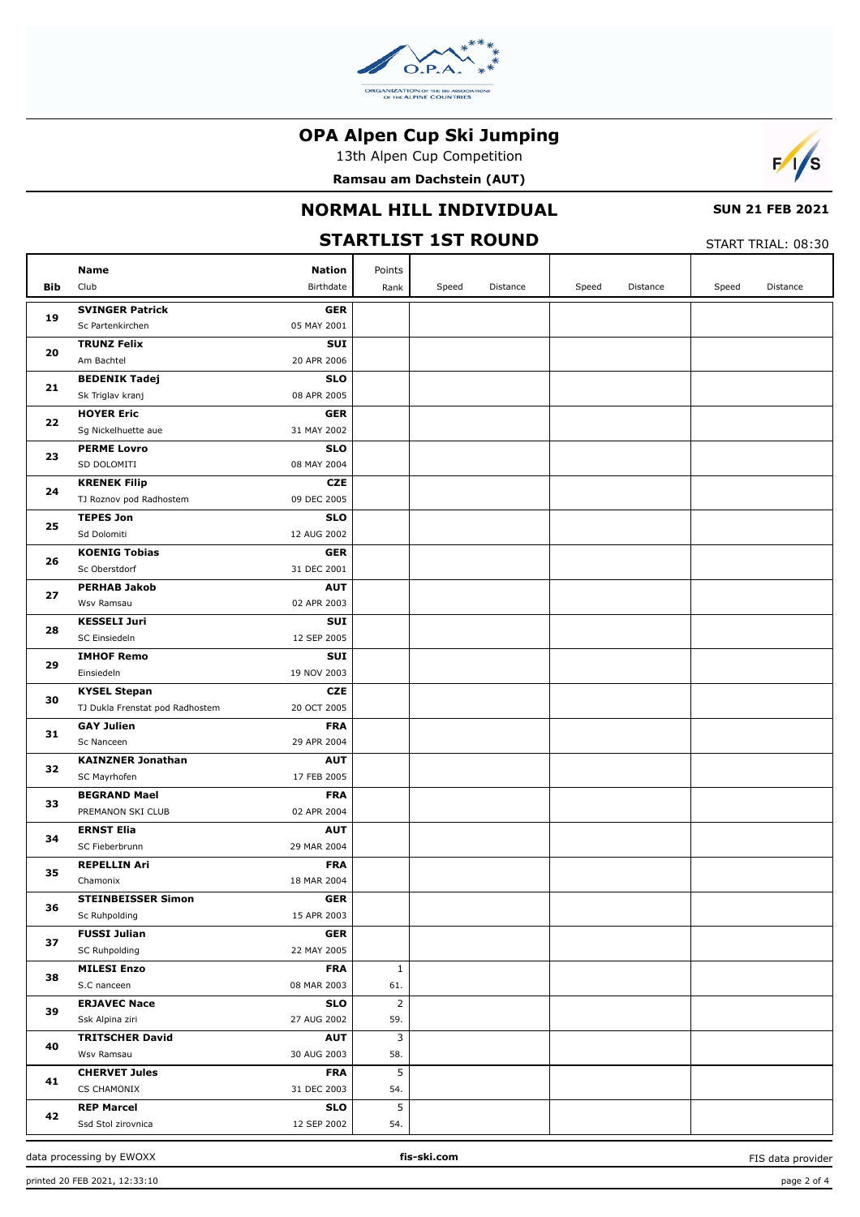

13th Alpen Cup Competition

Ramsau am Dachstein (AUT)



### NORMAL HILL INDIVIDUAL

# **SUN 21 FEB 2021**

| <b>STARTLIST 1ST ROUND</b><br>START TRIAL: 08:30 |                                          |                           |                |       |          |       |          |       |          |
|--------------------------------------------------|------------------------------------------|---------------------------|----------------|-------|----------|-------|----------|-------|----------|
|                                                  | <b>Name</b>                              | <b>Nation</b>             | Points         |       |          |       |          |       |          |
| <b>Bib</b>                                       | Club                                     | Birthdate                 | Rank           | Speed | Distance | Speed | Distance | Speed | Distance |
|                                                  | <b>SVINGER Patrick</b>                   | <b>GER</b>                |                |       |          |       |          |       |          |
| 19                                               | Sc Partenkirchen                         | 05 MAY 2001               |                |       |          |       |          |       |          |
| 20                                               | <b>TRUNZ Felix</b>                       | SUI                       |                |       |          |       |          |       |          |
|                                                  | Am Bachtel                               | 20 APR 2006               |                |       |          |       |          |       |          |
| 21                                               | <b>BEDENIK Tadej</b>                     | <b>SLO</b>                |                |       |          |       |          |       |          |
|                                                  | Sk Triglav kranj                         | 08 APR 2005               |                |       |          |       |          |       |          |
| 22                                               | <b>HOYER Eric</b>                        | <b>GER</b>                |                |       |          |       |          |       |          |
|                                                  | Sg Nickelhuette aue                      | 31 MAY 2002               |                |       |          |       |          |       |          |
| 23                                               | <b>PERME Lovro</b><br>SD DOLOMITI        | <b>SLO</b><br>08 MAY 2004 |                |       |          |       |          |       |          |
|                                                  | <b>KRENEK Filip</b>                      | <b>CZE</b>                |                |       |          |       |          |       |          |
| 24                                               | TJ Roznov pod Radhostem                  | 09 DEC 2005               |                |       |          |       |          |       |          |
|                                                  | <b>TEPES Jon</b>                         | <b>SLO</b>                |                |       |          |       |          |       |          |
| 25                                               | Sd Dolomiti                              | 12 AUG 2002               |                |       |          |       |          |       |          |
|                                                  | <b>KOENIG Tobias</b>                     | <b>GER</b>                |                |       |          |       |          |       |          |
| 26                                               | Sc Oberstdorf                            | 31 DEC 2001               |                |       |          |       |          |       |          |
|                                                  | <b>PERHAB Jakob</b>                      | <b>AUT</b>                |                |       |          |       |          |       |          |
| 27                                               | Wsv Ramsau                               | 02 APR 2003               |                |       |          |       |          |       |          |
|                                                  | <b>KESSELI Juri</b>                      | SUI                       |                |       |          |       |          |       |          |
| 28                                               | SC Einsiedeln                            | 12 SEP 2005               |                |       |          |       |          |       |          |
| 29                                               | <b>IMHOF Remo</b>                        | SUI                       |                |       |          |       |          |       |          |
|                                                  | Einsiedeln                               | 19 NOV 2003               |                |       |          |       |          |       |          |
| 30                                               | <b>KYSEL Stepan</b>                      | <b>CZE</b>                |                |       |          |       |          |       |          |
|                                                  | TJ Dukla Frenstat pod Radhostem          | 20 OCT 2005               |                |       |          |       |          |       |          |
| 31                                               | <b>GAY Julien</b>                        | <b>FRA</b>                |                |       |          |       |          |       |          |
|                                                  | Sc Nanceen                               | 29 APR 2004               |                |       |          |       |          |       |          |
| 32                                               | <b>KAINZNER Jonathan</b><br>SC Mayrhofen | <b>AUT</b><br>17 FEB 2005 |                |       |          |       |          |       |          |
|                                                  | <b>BEGRAND Mael</b>                      | <b>FRA</b>                |                |       |          |       |          |       |          |
| 33                                               | PREMANON SKI CLUB                        | 02 APR 2004               |                |       |          |       |          |       |          |
|                                                  | <b>ERNST Elia</b>                        | <b>AUT</b>                |                |       |          |       |          |       |          |
| 34                                               | SC Fieberbrunn                           | 29 MAR 2004               |                |       |          |       |          |       |          |
|                                                  | <b>REPELLIN Ari</b>                      | <b>FRA</b>                |                |       |          |       |          |       |          |
| 35                                               | Chamonix                                 | 18 MAR 2004               |                |       |          |       |          |       |          |
|                                                  | <b>STEINBEISSER Simon</b>                | <b>GER</b>                |                |       |          |       |          |       |          |
| 36                                               | Sc Ruhpolding                            | 15 APR 2003               |                |       |          |       |          |       |          |
| 37                                               | <b>FUSSI Julian</b>                      | <b>GER</b>                |                |       |          |       |          |       |          |
|                                                  | SC Ruhpolding                            | 22 MAY 2005               |                |       |          |       |          |       |          |
| 38                                               | <b>MILESI Enzo</b>                       | <b>FRA</b>                | $\mathbf{1}$   |       |          |       |          |       |          |
|                                                  | S.C nanceen                              | 08 MAR 2003               | 61.            |       |          |       |          |       |          |
| 39                                               | <b>ERJAVEC Nace</b>                      | <b>SLO</b>                | $\overline{2}$ |       |          |       |          |       |          |
|                                                  | Ssk Alpina ziri                          | 27 AUG 2002               | 59.            |       |          |       |          |       |          |
| 40                                               | <b>TRITSCHER David</b>                   | <b>AUT</b>                | 3              |       |          |       |          |       |          |
|                                                  | Wsv Ramsau                               | 30 AUG 2003               | 58.            |       |          |       |          |       |          |
| 41                                               | <b>CHERVET Jules</b><br>CS CHAMONIX      | <b>FRA</b><br>31 DEC 2003 | 5<br>54.       |       |          |       |          |       |          |
|                                                  | <b>REP Marcel</b>                        | <b>SLO</b>                | 5              |       |          |       |          |       |          |
| 42                                               | Ssd Stol zirovnica                       | 12 SEP 2002               | 54.            |       |          |       |          |       |          |
|                                                  |                                          |                           |                |       |          |       |          |       |          |

data processing by EWOXX

FIS data provider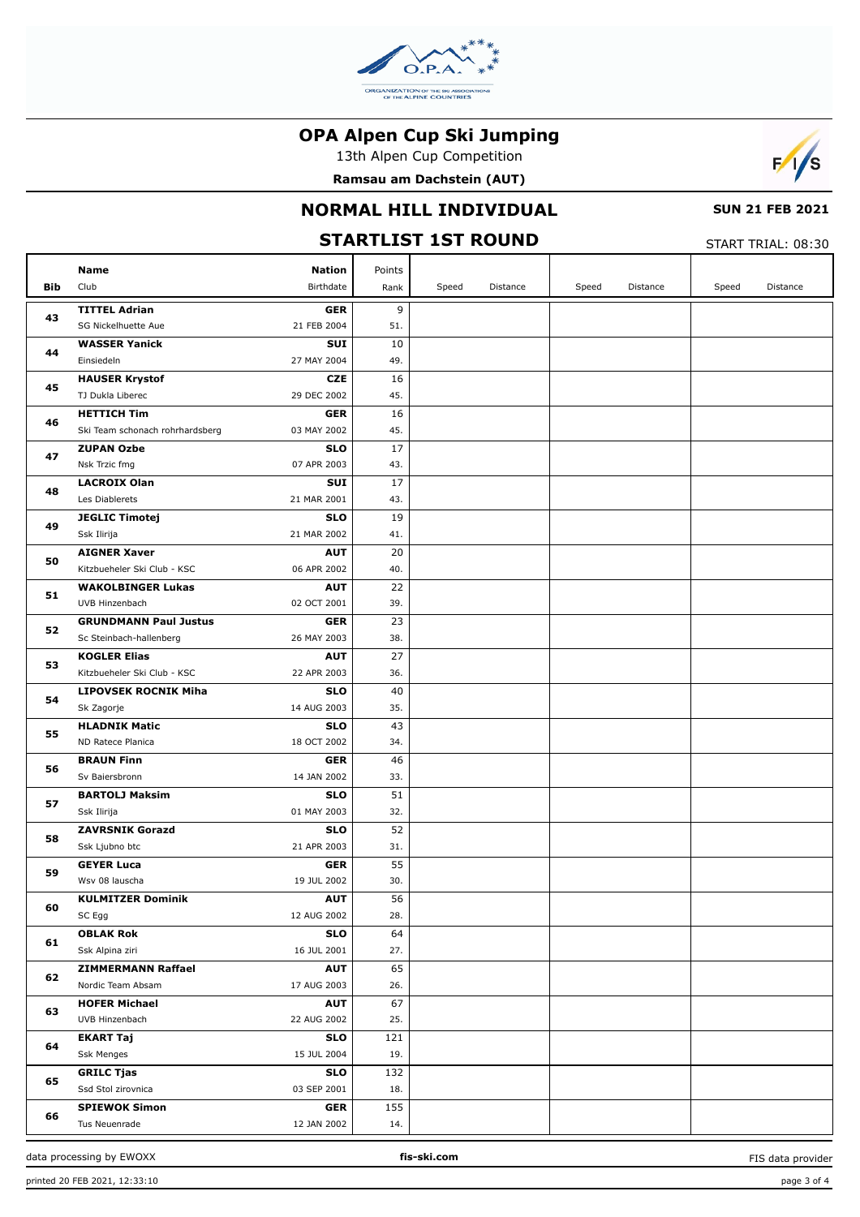

13th Alpen Cup Competition

**Ramsau am Dachstein (AUT)**



### **NORMAL HILL INDIVIDUAL**

### **SUN 21 FEB 2021** START TRIAL: 08:30

| <b>STARTLIST 1ST ROUND</b><br>START TRIAL: 08:30 |                                      |                           |           |       |          |       |          |       |          |
|--------------------------------------------------|--------------------------------------|---------------------------|-----------|-------|----------|-------|----------|-------|----------|
|                                                  | <b>Name</b>                          | <b>Nation</b>             | Points    |       |          |       |          |       |          |
| <b>Bib</b>                                       | Club                                 | Birthdate                 | Rank      | Speed | Distance | Speed | Distance | Speed | Distance |
|                                                  | <b>TITTEL Adrian</b>                 | <b>GER</b>                | 9         |       |          |       |          |       |          |
| 43                                               | SG Nickelhuette Aue                  | 21 FEB 2004               | 51.       |       |          |       |          |       |          |
| 44                                               | <b>WASSER Yanick</b>                 | <b>SUI</b>                | 10        |       |          |       |          |       |          |
|                                                  | Einsiedeln                           | 27 MAY 2004               | 49.       |       |          |       |          |       |          |
| 45                                               | <b>HAUSER Krystof</b>                | <b>CZE</b>                | 16        |       |          |       |          |       |          |
|                                                  | TJ Dukla Liberec                     | 29 DEC 2002               | 45.       |       |          |       |          |       |          |
| 46                                               | <b>HETTICH Tim</b>                   | <b>GER</b>                | 16        |       |          |       |          |       |          |
|                                                  | Ski Team schonach rohrhardsberg      | 03 MAY 2002               | 45.       |       |          |       |          |       |          |
| 47                                               | <b>ZUPAN Ozbe</b>                    | <b>SLO</b>                | 17        |       |          |       |          |       |          |
|                                                  | Nsk Trzic fmg                        | 07 APR 2003               | 43.       |       |          |       |          |       |          |
| 48                                               | <b>LACROIX Olan</b>                  | <b>SUI</b>                | 17        |       |          |       |          |       |          |
|                                                  | Les Diablerets                       | 21 MAR 2001               | 43.       |       |          |       |          |       |          |
| 49                                               | <b>JEGLIC Timotej</b><br>Ssk Ilirija | <b>SLO</b><br>21 MAR 2002 | 19<br>41. |       |          |       |          |       |          |
|                                                  | <b>AIGNER Xaver</b>                  | <b>AUT</b>                | 20        |       |          |       |          |       |          |
| 50                                               | Kitzbueheler Ski Club - KSC          | 06 APR 2002               | 40.       |       |          |       |          |       |          |
|                                                  | <b>WAKOLBINGER Lukas</b>             | <b>AUT</b>                | 22        |       |          |       |          |       |          |
| 51                                               | UVB Hinzenbach                       | 02 OCT 2001               | 39.       |       |          |       |          |       |          |
|                                                  | <b>GRUNDMANN Paul Justus</b>         | <b>GER</b>                | 23        |       |          |       |          |       |          |
| 52                                               | Sc Steinbach-hallenberg              | 26 MAY 2003               | 38.       |       |          |       |          |       |          |
|                                                  | <b>KOGLER Elias</b>                  | <b>AUT</b>                | 27        |       |          |       |          |       |          |
| 53                                               | Kitzbueheler Ski Club - KSC          | 22 APR 2003               | 36.       |       |          |       |          |       |          |
|                                                  | <b>LIPOVSEK ROCNIK Miha</b>          | <b>SLO</b>                | 40        |       |          |       |          |       |          |
| 54                                               | Sk Zagorje                           | 14 AUG 2003               | 35.       |       |          |       |          |       |          |
| 55                                               | <b>HLADNIK Matic</b>                 | <b>SLO</b>                | 43        |       |          |       |          |       |          |
|                                                  | ND Ratece Planica                    | 18 OCT 2002               | 34.       |       |          |       |          |       |          |
| 56                                               | <b>BRAUN Finn</b>                    | <b>GER</b>                | 46        |       |          |       |          |       |          |
|                                                  | Sv Baiersbronn                       | 14 JAN 2002               | 33.       |       |          |       |          |       |          |
| 57                                               | <b>BARTOLJ Maksim</b>                | <b>SLO</b>                | 51        |       |          |       |          |       |          |
|                                                  | Ssk Ilirija                          | 01 MAY 2003               | 32.       |       |          |       |          |       |          |
| 58                                               | <b>ZAVRSNIK Gorazd</b>               | <b>SLO</b><br>21 APR 2003 | 52<br>31. |       |          |       |          |       |          |
|                                                  | Ssk Ljubno btc<br><b>GEYER Luca</b>  | <b>GER</b>                | 55        |       |          |       |          |       |          |
| 59                                               | Wsv 08 lauscha                       | 19 JUL 2002               | 30.       |       |          |       |          |       |          |
|                                                  | <b>KULMITZER Dominik</b>             | <b>AUT</b>                | 56        |       |          |       |          |       |          |
| 60                                               | SC Egg                               | 12 AUG 2002               | 28.       |       |          |       |          |       |          |
|                                                  | <b>OBLAK Rok</b>                     | <b>SLO</b>                | 64        |       |          |       |          |       |          |
| 61                                               | Ssk Alpina ziri                      | 16 JUL 2001               | 27.       |       |          |       |          |       |          |
|                                                  | <b>ZIMMERMANN Raffael</b>            | <b>AUT</b>                | 65        |       |          |       |          |       |          |
| 62                                               | Nordic Team Absam                    | 17 AUG 2003               | 26.       |       |          |       |          |       |          |
|                                                  | <b>HOFER Michael</b>                 | <b>AUT</b>                | 67        |       |          |       |          |       |          |
| 63                                               | UVB Hinzenbach                       | 22 AUG 2002               | 25.       |       |          |       |          |       |          |
| 64                                               | <b>EKART Taj</b>                     | <b>SLO</b>                | 121       |       |          |       |          |       |          |
|                                                  | Ssk Menges                           | 15 JUL 2004               | 19.       |       |          |       |          |       |          |
| 65                                               | <b>GRILC Tjas</b>                    | <b>SLO</b>                | 132       |       |          |       |          |       |          |
|                                                  | Ssd Stol zirovnica                   | 03 SEP 2001               | 18.       |       |          |       |          |       |          |
| 66                                               | <b>SPIEWOK Simon</b>                 | <b>GER</b>                | 155       |       |          |       |          |       |          |
|                                                  | Tus Neuenrade                        | 12 JAN 2002               | 14.       |       |          |       |          |       |          |

FIS data provider